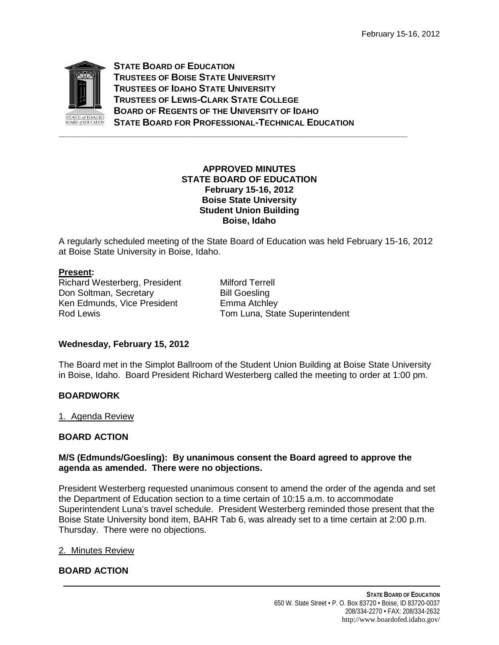

**STATE BOARD OF EDUCATION TRUSTEES OF BOISE STATE UNIVERSITY TRUSTEES OF IDAHO STATE UNIVERSITY TRUSTEES OF LEWIS-CLARK STATE COLLEGE BOARD OF REGENTS OF THE UNIVERSITY OF IDAHO STATE BOARD FOR PROFESSIONAL-TECHNICAL EDUCATION**

**\_\_\_\_\_\_\_\_\_\_\_\_\_\_\_\_\_\_\_\_\_\_\_\_\_\_\_\_\_\_\_\_\_\_\_\_\_\_\_\_\_\_\_\_\_\_\_\_\_\_\_\_\_\_\_\_\_\_\_\_\_\_\_\_\_\_\_\_\_\_**

## **APPROVED MINUTES STATE BOARD OF EDUCATION February 15-16, 2012 Boise State University Student Union Building Boise, Idaho**

A regularly scheduled meeting of the State Board of Education was held February 15-16, 2012 at Boise State University in Boise, Idaho.

# **Present :**

Richard Westerberg, President Milford Terrell Don Soltman, Secretary **Bill Goesling** Ken Edmunds, Vice President Famma Atchley<br>Rod Lewis Fame Charlotter Tom Luna, State

Tom Luna, State Superintendent

# **Wednesday, February 15, 2012**

The Board met in the Simplot Ballroom of the Student Union Building at Boise State University in Boise, Idaho. Board President Richard Westerberg called the meeting to order at 1:00 pm.

# **BOARDWORK**

1. Agenda Review

### **BOARD ACTION**

## **M/S (Edmunds/Goesling): By unanimous consent the Board agreed to approve the agenda as amended. There were no objections.**

President Westerberg requested unanimous consent to amend the order of the agenda and set the Department of Education section to a time certain of 10:15 a.m. to accommodate Superintendent Luna's travel schedule. President Westerberg reminded those present that the Boise State University bond item, BAHR Tab 6, was already set to a time certain at 2:00 p.m. Thursday. There were no objections.

### 2. Minutes Review

# **BOARD ACTION**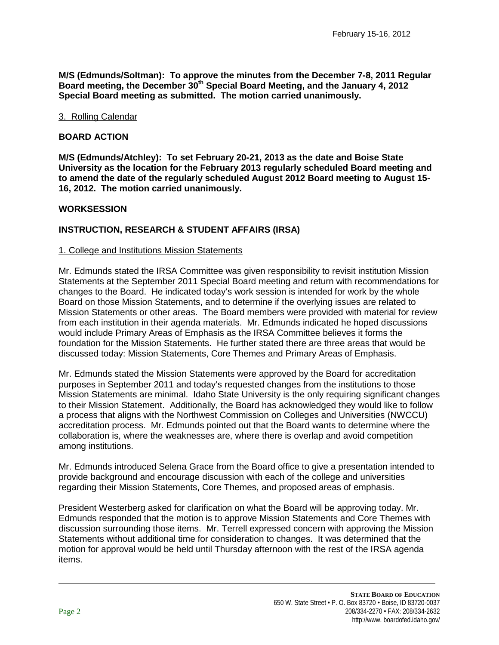**M/S (Edmunds/Soltman): To approve the minutes from the December 7-8, 2011 Regular Board meeting, the December 30th Special Board Meeting, and the January 4, 2012 Special Board meeting as submitted. The motion carried unanimously.** 

### 3. Rolling Calendar

### **BOARD ACTION**

**M/S (Edmunds/Atchley): To set February 20-21, 2013 as the date and Boise State University as the location for the February 2013 regularly scheduled Board meeting and to amend the date of the regularly scheduled August 2012 Board meeting to August 15- 16, 2012. The motion carried unanimously.**

### **WORKSESSION**

## **INSTRUCTION, RESEARCH & STUDENT AFFAIRS (IRSA)**

### 1. College and Institutions Mission Statements

Mr. Edmunds stated the IRSA Committee was given responsibility to revisit institution Mission Statements at the September 2011 Special Board meeting and return with recommendations for changes to the Board. He indicated today's work session is intended for work by the whole Board on those Mission Statements, and to determine if the overlying issues are related to Mission Statements or other areas. The Board members were provided with material for review from each institution in their agenda materials. Mr. Edmunds indicated he hoped discussions would include Primary Areas of Emphasis as the IRSA Committee believes it forms the foundation for the Mission Statements. He further stated there are three areas that would be discussed today: Mission Statements, Core Themes and Primary Areas of Emphasis.

Mr. Edmunds stated the Mission Statements were approved by the Board for accreditation purposes in September 2011 and today's requested changes from the institutions to those Mission Statements are minimal. Idaho State University is the only requiring significant changes to their Mission Statement. Additionally, the Board has acknowledged they would like to follow a process that aligns with the Northwest Commission on Colleges and Universities (NWCCU) accreditation process. Mr. Edmunds pointed out that the Board wants to determine where the collaboration is, where the weaknesses are, where there is overlap and avoid competition among institutions.

Mr. Edmunds introduced Selena Grace from the Board office to give a presentation intended to provide background and encourage discussion with each of the college and universities regarding their Mission Statements, Core Themes, and proposed areas of emphasis.

President Westerberg asked for clarification on what the Board will be approving today. Mr. Edmunds responded that the motion is to approve Mission Statements and Core Themes with discussion surrounding those items. Mr. Terrell expressed concern with approving the Mission Statements without additional time for consideration to changes. It was determined that the motion for approval would be held until Thursday afternoon with the rest of the IRSA agenda items.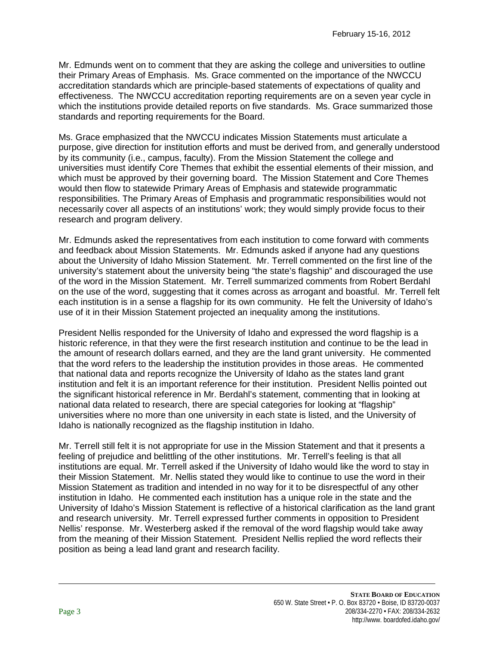Mr. Edmunds went on to comment that they are asking the college and universities to outline their Primary Areas of Emphasis. Ms. Grace commented on the importance of the NWCCU accreditation standards which are principle-based statements of expectations of quality and effectiveness. The NWCCU accreditation reporting requirements are on a seven year cycle in which the institutions provide detailed reports on five standards. Ms. Grace summarized those standards and reporting requirements for the Board.

Ms. Grace emphasized that the NWCCU indicates Mission Statements must articulate a purpose, give direction for institution efforts and must be derived from, and generally understood by its community (i.e., campus, faculty). From the Mission Statement the college and universities must identify Core Themes that exhibit the essential elements of their mission, and which must be approved by their governing board. The Mission Statement and Core Themes would then flow to statewide Primary Areas of Emphasis and statewide programmatic responsibilities. The Primary Areas of Emphasis and programmatic responsibilities would not necessarily cover all aspects of an institutions' work; they would simply provide focus to their research and program delivery.

Mr. Edmunds asked the representatives from each institution to come forward with comments and feedback about Mission Statements. Mr. Edmunds asked if anyone had any questions about the University of Idaho Mission Statement. Mr. Terrell commented on the first line of the university's statement about the university being "the state's flagship" and discouraged the use of the word in the Mission Statement. Mr. Terrell summarized comments from Robert Berdahl on the use of the word, suggesting that it comes across as arrogant and boastful. Mr. Terrell felt each institution is in a sense a flagship for its own community. He felt the University of Idaho's use of it in their Mission Statement projected an inequality among the institutions.

President Nellis responded for the University of Idaho and expressed the word flagship is a historic reference, in that they were the first research institution and continue to be the lead in the amount of research dollars earned, and they are the land grant university. He commented that the word refers to the leadership the institution provides in those areas. He commented that national data and reports recognize the University of Idaho as the states land grant institution and felt it is an important reference for their institution. President Nellis pointed out the significant historical reference in Mr. Berdahl's statement, commenting that in looking at national data related to research, there are special categories for looking at "flagship" universities where no more than one university in each state is listed, and the University of Idaho is nationally recognized as the flagship institution in Idaho.

Mr. Terrell still felt it is not appropriate for use in the Mission Statement and that it presents a feeling of prejudice and belittling of the other institutions. Mr. Terrell's feeling is that all institutions are equal. Mr. Terrell asked if the University of Idaho would like the word to stay in their Mission Statement. Mr. Nellis stated they would like to continue to use the word in their Mission Statement as tradition and intended in no way for it to be disrespectful of any other institution in Idaho. He commented each institution has a unique role in the state and the University of Idaho's Mission Statement is reflective of a historical clarification as the land grant and research university. Mr. Terrell expressed further comments in opposition to President Nellis' response. Mr. Westerberg asked if the removal of the word flagship would take away from the meaning of their Mission Statement. President Nellis replied the word reflects their position as being a lead land grant and research facility.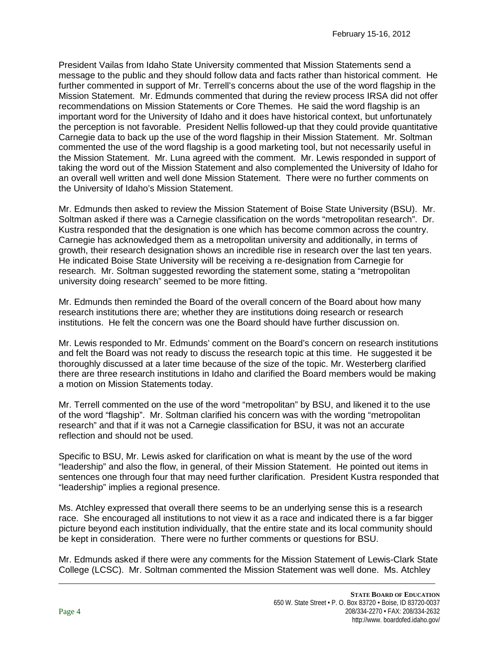President Vailas from Idaho State University commented that Mission Statements send a message to the public and they should follow data and facts rather than historical comment. He further commented in support of Mr. Terrell's concerns about the use of the word flagship in the Mission Statement. Mr. Edmunds commented that during the review process IRSA did not offer recommendations on Mission Statements or Core Themes. He said the word flagship is an important word for the University of Idaho and it does have historical context, but unfortunately the perception is not favorable. President Nellis followed-up that they could provide quantitative Carnegie data to back up the use of the word flagship in their Mission Statement. Mr. Soltman commented the use of the word flagship is a good marketing tool, but not necessarily useful in the Mission Statement. Mr. Luna agreed with the comment. Mr. Lewis responded in support of taking the word out of the Mission Statement and also complemented the University of Idaho for an overall well written and well done Mission Statement. There were no further comments on the University of Idaho's Mission Statement.

Mr. Edmunds then asked to review the Mission Statement of Boise State University (BSU). Mr. Soltman asked if there was a Carnegie classification on the words "metropolitan research". Dr. Kustra responded that the designation is one which has become common across the country. Carnegie has acknowledged them as a metropolitan university and additionally, in terms of growth, their research designation shows an incredible rise in research over the last ten years. He indicated Boise State University will be receiving a re-designation from Carnegie for research. Mr. Soltman suggested rewording the statement some, stating a "metropolitan university doing research" seemed to be more fitting.

Mr. Edmunds then reminded the Board of the overall concern of the Board about how many research institutions there are; whether they are institutions doing research or research institutions. He felt the concern was one the Board should have further discussion on.

Mr. Lewis responded to Mr. Edmunds' comment on the Board's concern on research institutions and felt the Board was not ready to discuss the research topic at this time. He suggested it be thoroughly discussed at a later time because of the size of the topic. Mr. Westerberg clarified there are three research institutions in Idaho and clarified the Board members would be making a motion on Mission Statements today.

Mr. Terrell commented on the use of the word "metropolitan" by BSU, and likened it to the use of the word "flagship". Mr. Soltman clarified his concern was with the wording "metropolitan research" and that if it was not a Carnegie classification for BSU, it was not an accurate reflection and should not be used.

Specific to BSU, Mr. Lewis asked for clarification on what is meant by the use of the word "leadership" and also the flow, in general, of their Mission Statement. He pointed out items in sentences one through four that may need further clarification. President Kustra responded that "leadership" implies a regional presence.

Ms. Atchley expressed that overall there seems to be an underlying sense this is a research race. She encouraged all institutions to not view it as a race and indicated there is a far bigger picture beyond each institution individually, that the entire state and its local community should be kept in consideration. There were no further comments or questions for BSU.

Mr. Edmunds asked if there were any comments for the Mission Statement of Lewis-Clark State College (LCSC). Mr. Soltman commented the Mission Statement was well done. Ms. Atchley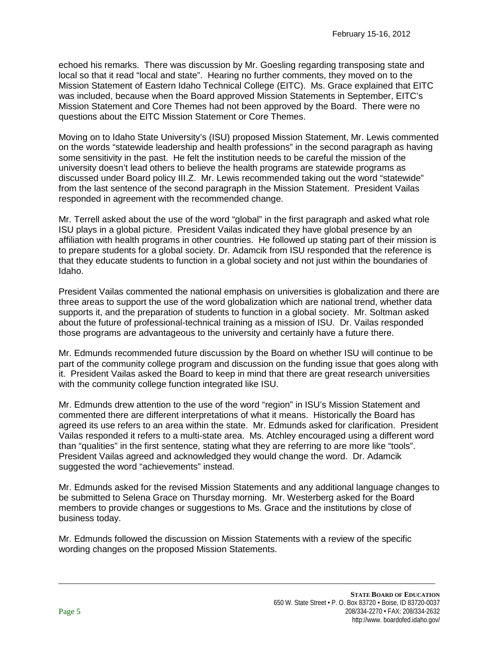echoed his remarks. There was discussion by Mr. Goesling regarding transposing state and local so that it read "local and state". Hearing no further comments, they moved on to the Mission Statement of Eastern Idaho Technical College (EITC). Ms. Grace explained that EITC was included, because when the Board approved Mission Statements in September, EITC's Mission Statement and Core Themes had not been approved by the Board. There were no questions about the EITC Mission Statement or Core Themes.

Moving on to Idaho State University's (ISU) proposed Mission Statement, Mr. Lewis commented on the words "statewide leadership and health professions" in the second paragraph as having some sensitivity in the past. He felt the institution needs to be careful the mission of the university doesn't lead others to believe the health programs are statewide programs as discussed under Board policy III.Z. Mr. Lewis recommended taking out the word "statewide" from the last sentence of the second paragraph in the Mission Statement. President Vailas responded in agreement with the recommended change.

Mr. Terrell asked about the use of the word "global" in the first paragraph and asked what role ISU plays in a global picture. President Vailas indicated they have global presence by an affiliation with health programs in other countries. He followed up stating part of their mission is to prepare students for a global society. Dr. Adamcik from ISU responded that the reference is that they educate students to function in a global society and not just within the boundaries of Idaho.

President Vailas commented the national emphasis on universities is globalization and there are three areas to support the use of the word globalization which are national trend, whether data supports it, and the preparation of students to function in a global society. Mr. Soltman asked about the future of professional-technical training as a mission of ISU. Dr. Vailas responded those programs are advantageous to the university and certainly have a future there.

Mr. Edmunds recommended future discussion by the Board on whether ISU will continue to be part of the community college program and discussion on the funding issue that goes along with it. President Vailas asked the Board to keep in mind that there are great research universities with the community college function integrated like ISU.

Mr. Edmunds drew attention to the use of the word "region" in ISU's Mission Statement and commented there are different interpretations of what it means. Historically the Board has agreed its use refers to an area within the state. Mr. Edmunds asked for clarification. President Vailas responded it refers to a multi-state area. Ms. Atchley encouraged using a different word than "qualities" in the first sentence, stating what they are referring to are more like "tools". President Vailas agreed and acknowledged they would change the word. Dr. Adamcik suggested the word "achievements" instead.

Mr. Edmunds asked for the revised Mission Statements and any additional language changes to be submitted to Selena Grace on Thursday morning. Mr. Westerberg asked for the Board members to provide changes or suggestions to Ms. Grace and the institutions by close of business today.

Mr. Edmunds followed the discussion on Mission Statements with a review of the specific wording changes on the proposed Mission Statements.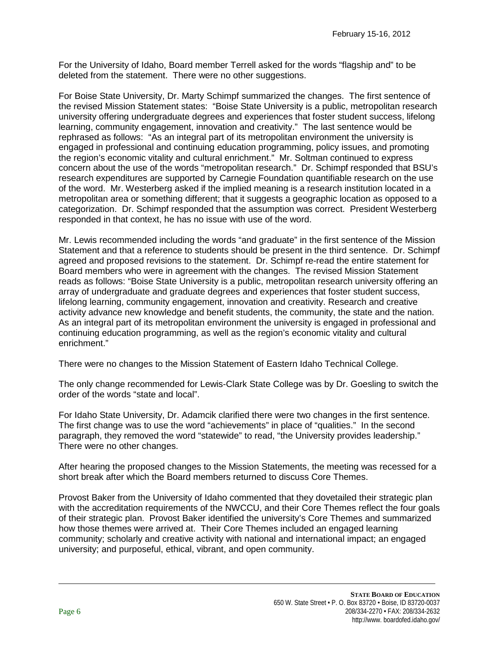For the University of Idaho, Board member Terrell asked for the words "flagship and" to be deleted from the statement. There were no other suggestions.

For Boise State University, Dr. Marty Schimpf summarized the changes. The first sentence of the revised Mission Statement states: "Boise State University is a public, metropolitan research university offering undergraduate degrees and experiences that foster student success, lifelong learning, community engagement, innovation and creativity." The last sentence would be rephrased as follows: "As an integral part of its metropolitan environment the university is engaged in professional and continuing education programming, policy issues, and promoting the region's economic vitality and cultural enrichment." Mr. Soltman continued to express concern about the use of the words "metropolitan research." Dr. Schimpf responded that BSU's research expenditures are supported by Carnegie Foundation quantifiable research on the use of the word. Mr. Westerberg asked if the implied meaning is a research institution located in a metropolitan area or something different; that it suggests a geographic location as opposed to a categorization. Dr. Schimpf responded that the assumption was correct. President Westerberg responded in that context, he has no issue with use of the word.

Mr. Lewis recommended including the words "and graduate" in the first sentence of the Mission Statement and that a reference to students should be present in the third sentence. Dr. Schimpf agreed and proposed revisions to the statement. Dr. Schimpf re-read the entire statement for Board members who were in agreement with the changes. The revised Mission Statement reads as follows: "Boise State University is a public, metropolitan research university offering an array of undergraduate and graduate degrees and experiences that foster student success, lifelong learning, community engagement, innovation and creativity. Research and creative activity advance new knowledge and benefit students, the community, the state and the nation. As an integral part of its metropolitan environment the university is engaged in professional and continuing education programming, as well as the region's economic vitality and cultural enrichment."

There were no changes to the Mission Statement of Eastern Idaho Technical College.

The only change recommended for Lewis-Clark State College was by Dr. Goesling to switch the order of the words "state and local".

For Idaho State University, Dr. Adamcik clarified there were two changes in the first sentence. The first change was to use the word "achievements" in place of "qualities." In the second paragraph, they removed the word "statewide" to read, "the University provides leadership." There were no other changes.

After hearing the proposed changes to the Mission Statements, the meeting was recessed for a short break after which the Board members returned to discuss Core Themes.

Provost Baker from the University of Idaho commented that they dovetailed their strategic plan with the accreditation requirements of the NWCCU, and their Core Themes reflect the four goals of their strategic plan. Provost Baker identified the university's Core Themes and summarized how those themes were arrived at. Their Core Themes included an engaged learning community; scholarly and creative activity with national and international impact; an engaged university; and purposeful, ethical, vibrant, and open community.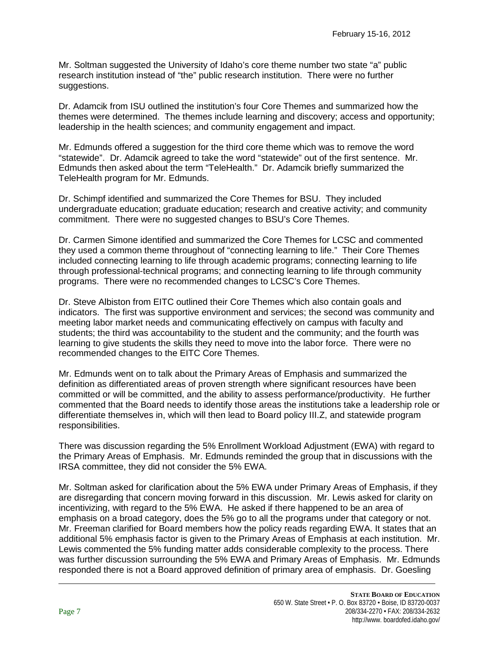Mr. Soltman suggested the University of Idaho's core theme number two state "a" public research institution instead of "the" public research institution. There were no further suggestions.

Dr. Adamcik from ISU outlined the institution's four Core Themes and summarized how the themes were determined. The themes include learning and discovery; access and opportunity; leadership in the health sciences; and community engagement and impact.

Mr. Edmunds offered a suggestion for the third core theme which was to remove the word "statewide". Dr. Adamcik agreed to take the word "statewide" out of the first sentence. Mr. Edmunds then asked about the term "TeleHealth." Dr. Adamcik briefly summarized the TeleHealth program for Mr. Edmunds.

Dr. Schimpf identified and summarized the Core Themes for BSU. They included undergraduate education; graduate education; research and creative activity; and community commitment. There were no suggested changes to BSU's Core Themes.

Dr. Carmen Simone identified and summarized the Core Themes for LCSC and commented they used a common theme throughout of "connecting learning to life." Their Core Themes included connecting learning to life through academic programs; connecting learning to life through professional-technical programs; and connecting learning to life through community programs. There were no recommended changes to LCSC's Core Themes.

Dr. Steve Albiston from EITC outlined their Core Themes which also contain goals and indicators. The first was supportive environment and services; the second was community and meeting labor market needs and communicating effectively on campus with faculty and students; the third was accountability to the student and the community; and the fourth was learning to give students the skills they need to move into the labor force. There were no recommended changes to the EITC Core Themes.

Mr. Edmunds went on to talk about the Primary Areas of Emphasis and summarized the definition as differentiated areas of proven strength where significant resources have been committed or will be committed, and the ability to assess performance/productivity. He further commented that the Board needs to identify those areas the institutions take a leadership role or differentiate themselves in, which will then lead to Board policy III.Z, and statewide program responsibilities.

There was discussion regarding the 5% Enrollment Workload Adjustment (EWA) with regard to the Primary Areas of Emphasis. Mr. Edmunds reminded the group that in discussions with the IRSA committee, they did not consider the 5% EWA.

Mr. Soltman asked for clarification about the 5% EWA under Primary Areas of Emphasis, if they are disregarding that concern moving forward in this discussion. Mr. Lewis asked for clarity on incentivizing, with regard to the 5% EWA. He asked if there happened to be an area of emphasis on a broad category, does the 5% go to all the programs under that category or not. Mr. Freeman clarified for Board members how the policy reads regarding EWA. It states that an additional 5% emphasis factor is given to the Primary Areas of Emphasis at each institution. Mr. Lewis commented the 5% funding matter adds considerable complexity to the process. There was further discussion surrounding the 5% EWA and Primary Areas of Emphasis. Mr. Edmunds responded there is not a Board approved definition of primary area of emphasis. Dr. Goesling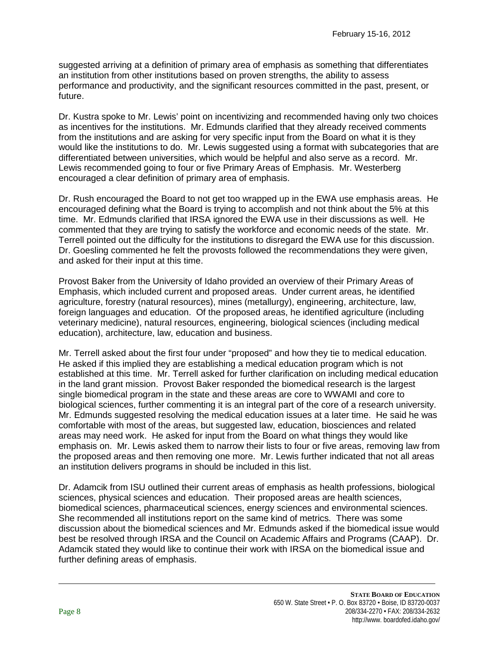suggested arriving at a definition of primary area of emphasis as something that differentiates an institution from other institutions based on proven strengths, the ability to assess performance and productivity, and the significant resources committed in the past, present, or future.

Dr. Kustra spoke to Mr. Lewis' point on incentivizing and recommended having only two choices as incentives for the institutions. Mr. Edmunds clarified that they already received comments from the institutions and are asking for very specific input from the Board on what it is they would like the institutions to do. Mr. Lewis suggested using a format with subcategories that are differentiated between universities, which would be helpful and also serve as a record. Mr. Lewis recommended going to four or five Primary Areas of Emphasis. Mr. Westerberg encouraged a clear definition of primary area of emphasis.

Dr. Rush encouraged the Board to not get too wrapped up in the EWA use emphasis areas. He encouraged defining what the Board is trying to accomplish and not think about the 5% at this time. Mr. Edmunds clarified that IRSA ignored the EWA use in their discussions as well. He commented that they are trying to satisfy the workforce and economic needs of the state. Mr. Terrell pointed out the difficulty for the institutions to disregard the EWA use for this discussion. Dr. Goesling commented he felt the provosts followed the recommendations they were given, and asked for their input at this time.

Provost Baker from the University of Idaho provided an overview of their Primary Areas of Emphasis, which included current and proposed areas. Under current areas, he identified agriculture, forestry (natural resources), mines (metallurgy), engineering, architecture, law, foreign languages and education. Of the proposed areas, he identified agriculture (including veterinary medicine), natural resources, engineering, biological sciences (including medical education), architecture, law, education and business.

Mr. Terrell asked about the first four under "proposed" and how they tie to medical education. He asked if this implied they are establishing a medical education program which is not established at this time. Mr. Terrell asked for further clarification on including medical education in the land grant mission. Provost Baker responded the biomedical research is the largest single biomedical program in the state and these areas are core to WWAMI and core to biological sciences, further commenting it is an integral part of the core of a research university. Mr. Edmunds suggested resolving the medical education issues at a later time. He said he was comfortable with most of the areas, but suggested law, education, biosciences and related areas may need work. He asked for input from the Board on what things they would like emphasis on. Mr. Lewis asked them to narrow their lists to four or five areas, removing law from the proposed areas and then removing one more. Mr. Lewis further indicated that not all areas an institution delivers programs in should be included in this list.

Dr. Adamcik from ISU outlined their current areas of emphasis as health professions, biological sciences, physical sciences and education. Their proposed areas are health sciences, biomedical sciences, pharmaceutical sciences, energy sciences and environmental sciences. She recommended all institutions report on the same kind of metrics. There was some discussion about the biomedical sciences and Mr. Edmunds asked if the biomedical issue would best be resolved through IRSA and the Council on Academic Affairs and Programs (CAAP). Dr. Adamcik stated they would like to continue their work with IRSA on the biomedical issue and further defining areas of emphasis.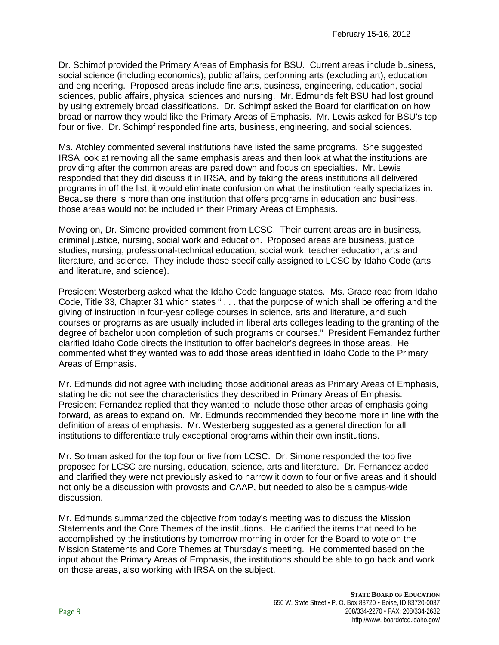Dr. Schimpf provided the Primary Areas of Emphasis for BSU. Current areas include business, social science (including economics), public affairs, performing arts (excluding art), education and engineering. Proposed areas include fine arts, business, engineering, education, social sciences, public affairs, physical sciences and nursing. Mr. Edmunds felt BSU had lost ground by using extremely broad classifications. Dr. Schimpf asked the Board for clarification on how broad or narrow they would like the Primary Areas of Emphasis. Mr. Lewis asked for BSU's top four or five. Dr. Schimpf responded fine arts, business, engineering, and social sciences.

Ms. Atchley commented several institutions have listed the same programs. She suggested IRSA look at removing all the same emphasis areas and then look at what the institutions are providing after the common areas are pared down and focus on specialties. Mr. Lewis responded that they did discuss it in IRSA, and by taking the areas institutions all delivered programs in off the list, it would eliminate confusion on what the institution really specializes in. Because there is more than one institution that offers programs in education and business, those areas would not be included in their Primary Areas of Emphasis.

Moving on, Dr. Simone provided comment from LCSC. Their current areas are in business, criminal justice, nursing, social work and education. Proposed areas are business, justice studies, nursing, professional-technical education, social work, teacher education, arts and literature, and science. They include those specifically assigned to LCSC by Idaho Code (arts and literature, and science).

President Westerberg asked what the Idaho Code language states. Ms. Grace read from Idaho Code, Title 33, Chapter 31 which states " . . . that the purpose of which shall be offering and the giving of instruction in four-year college courses in science, arts and literature, and such courses or programs as are usually included in liberal arts colleges leading to the granting of the degree of bachelor upon completion of such programs or courses." President Fernandez further clarified Idaho Code directs the institution to offer bachelor's degrees in those areas. He commented what they wanted was to add those areas identified in Idaho Code to the Primary Areas of Emphasis.

Mr. Edmunds did not agree with including those additional areas as Primary Areas of Emphasis, stating he did not see the characteristics they described in Primary Areas of Emphasis. President Fernandez replied that they wanted to include those other areas of emphasis going forward, as areas to expand on. Mr. Edmunds recommended they become more in line with the definition of areas of emphasis. Mr. Westerberg suggested as a general direction for all institutions to differentiate truly exceptional programs within their own institutions.

Mr. Soltman asked for the top four or five from LCSC. Dr. Simone responded the top five proposed for LCSC are nursing, education, science, arts and literature. Dr. Fernandez added and clarified they were not previously asked to narrow it down to four or five areas and it should not only be a discussion with provosts and CAAP, but needed to also be a campus-wide discussion.

Mr. Edmunds summarized the objective from today's meeting was to discuss the Mission Statements and the Core Themes of the institutions. He clarified the items that need to be accomplished by the institutions by tomorrow morning in order for the Board to vote on the Mission Statements and Core Themes at Thursday's meeting. He commented based on the input about the Primary Areas of Emphasis, the institutions should be able to go back and work on those areas, also working with IRSA on the subject.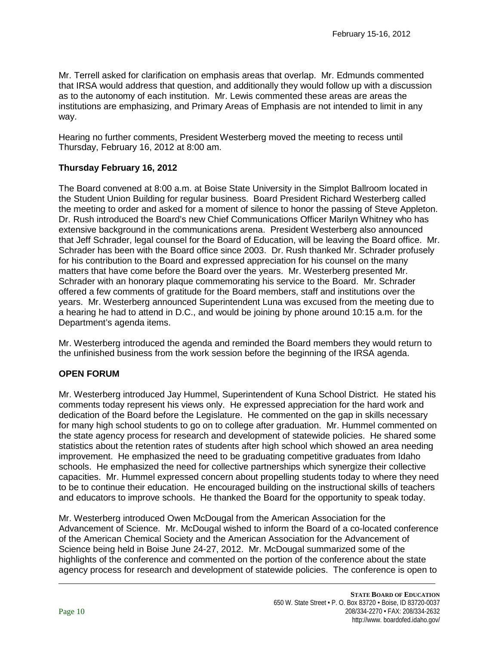Mr. Terrell asked for clarification on emphasis areas that overlap. Mr. Edmunds commented that IRSA would address that question, and additionally they would follow up with a discussion as to the autonomy of each institution. Mr. Lewis commented these areas are areas the institutions are emphasizing, and Primary Areas of Emphasis are not intended to limit in any way.

Hearing no further comments, President Westerberg moved the meeting to recess until Thursday, February 16, 2012 at 8:00 am.

# **Thursday February 16, 2012**

The Board convened at 8:00 a.m. at Boise State University in the Simplot Ballroom located in the Student Union Building for regular business. Board President Richard Westerberg called the meeting to order and asked for a moment of silence to honor the passing of Steve Appleton. Dr. Rush introduced the Board's new Chief Communications Officer Marilyn Whitney who has extensive background in the communications arena. President Westerberg also announced that Jeff Schrader, legal counsel for the Board of Education, will be leaving the Board office. Mr. Schrader has been with the Board office since 2003. Dr. Rush thanked Mr. Schrader profusely for his contribution to the Board and expressed appreciation for his counsel on the many matters that have come before the Board over the years. Mr. Westerberg presented Mr. Schrader with an honorary plaque commemorating his service to the Board. Mr. Schrader offered a few comments of gratitude for the Board members, staff and institutions over the years. Mr. Westerberg announced Superintendent Luna was excused from the meeting due to a hearing he had to attend in D.C., and would be joining by phone around 10:15 a.m. for the Department's agenda items.

Mr. Westerberg introduced the agenda and reminded the Board members they would return to the unfinished business from the work session before the beginning of the IRSA agenda.

# **OPEN FORUM**

Mr. Westerberg introduced Jay Hummel, Superintendent of Kuna School District. He stated his comments today represent his views only. He expressed appreciation for the hard work and dedication of the Board before the Legislature. He commented on the gap in skills necessary for many high school students to go on to college after graduation. Mr. Hummel commented on the state agency process for research and development of statewide policies. He shared some statistics about the retention rates of students after high school which showed an area needing improvement. He emphasized the need to be graduating competitive graduates from Idaho schools. He emphasized the need for collective partnerships which synergize their collective capacities. Mr. Hummel expressed concern about propelling students today to where they need to be to continue their education. He encouraged building on the instructional skills of teachers and educators to improve schools. He thanked the Board for the opportunity to speak today.

Mr. Westerberg introduced Owen McDougal from the American Association for the Advancement of Science. Mr. McDougal wished to inform the Board of a co-located conference of the American Chemical Society and the American Association for the Advancement of Science being held in Boise June 24-27, 2012. Mr. McDougal summarized some of the highlights of the conference and commented on the portion of the conference about the state agency process for research and development of statewide policies. The conference is open to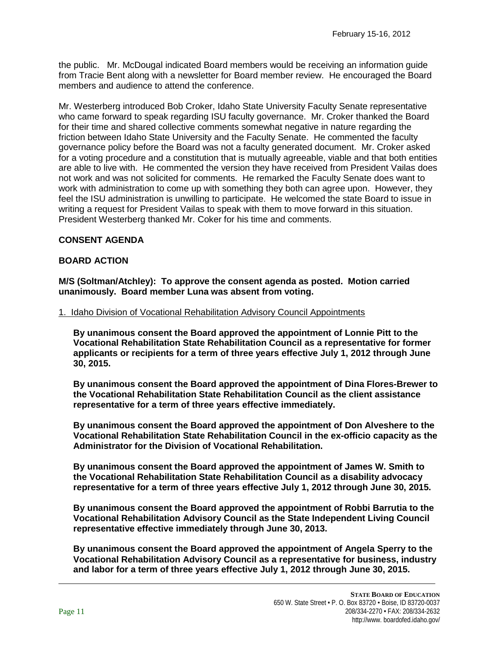the public. Mr. McDougal indicated Board members would be receiving an information guide from Tracie Bent along with a newsletter for Board member review. He encouraged the Board members and audience to attend the conference.

Mr. Westerberg introduced Bob Croker, Idaho State University Faculty Senate representative who came forward to speak regarding ISU faculty governance. Mr. Croker thanked the Board for their time and shared collective comments somewhat negative in nature regarding the friction between Idaho State University and the Faculty Senate. He commented the faculty governance policy before the Board was not a faculty generated document. Mr. Croker asked for a voting procedure and a constitution that is mutually agreeable, viable and that both entities are able to live with. He commented the version they have received from President Vailas does not work and was not solicited for comments. He remarked the Faculty Senate does want to work with administration to come up with something they both can agree upon. However, they feel the ISU administration is unwilling to participate. He welcomed the state Board to issue in writing a request for President Vailas to speak with them to move forward in this situation. President Westerberg thanked Mr. Coker for his time and comments.

# **CONSENT AGENDA**

## **BOARD ACTION**

**M/S (Soltman/Atchley): To approve the consent agenda as posted. Motion carried unanimously. Board member Luna was absent from voting.**

### 1. Idaho Division of Vocational Rehabilitation Advisory Council Appointments

**By unanimous consent the Board approved the appointment of Lonnie Pitt to the Vocational Rehabilitation State Rehabilitation Council as a representative for former applicants or recipients for a term of three years effective July 1, 2012 through June 30, 2015.**

**By unanimous consent the Board approved the appointment of Dina Flores-Brewer to the Vocational Rehabilitation State Rehabilitation Council as the client assistance representative for a term of three years effective immediately.**

**By unanimous consent the Board approved the appointment of Don Alveshere to the Vocational Rehabilitation State Rehabilitation Council in the ex-officio capacity as the Administrator for the Division of Vocational Rehabilitation.**

**By unanimous consent the Board approved the appointment of James W. Smith to the Vocational Rehabilitation State Rehabilitation Council as a disability advocacy representative for a term of three years effective July 1, 2012 through June 30, 2015.**

**By unanimous consent the Board approved the appointment of Robbi Barrutia to the Vocational Rehabilitation Advisory Council as the State Independent Living Council representative effective immediately through June 30, 2013.**

**By unanimous consent the Board approved the appointment of Angela Sperry to the Vocational Rehabilitation Advisory Council as a representative for business, industry and labor for a term of three years effective July 1, 2012 through June 30, 2015.**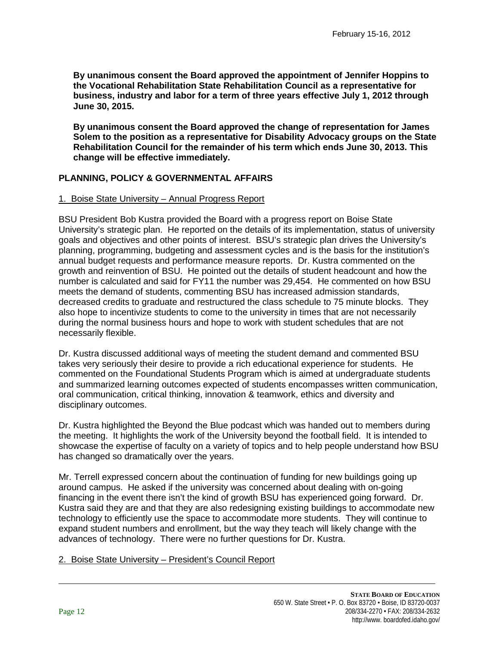**By unanimous consent the Board approved the appointment of Jennifer Hoppins to the Vocational Rehabilitation State Rehabilitation Council as a representative for business, industry and labor for a term of three years effective July 1, 2012 through June 30, 2015.**

**By unanimous consent the Board approved the change of representation for James Solem to the position as a representative for Disability Advocacy groups on the State Rehabilitation Council for the remainder of his term which ends June 30, 2013. This change will be effective immediately.**

# **PLANNING, POLICY & GOVERNMENTAL AFFAIRS**

### 1. Boise State University – Annual Progress Report

BSU President Bob Kustra provided the Board with a progress report on Boise State University's strategic plan. He reported on the details of its implementation, status of university goals and objectives and other points of interest. BSU's strategic plan drives the University's planning, programming, budgeting and assessment cycles and is the basis for the institution's annual budget requests and performance measure reports. Dr. Kustra commented on the growth and reinvention of BSU. He pointed out the details of student headcount and how the number is calculated and said for FY11 the number was 29,454. He commented on how BSU meets the demand of students, commenting BSU has increased admission standards, decreased credits to graduate and restructured the class schedule to 75 minute blocks. They also hope to incentivize students to come to the university in times that are not necessarily during the normal business hours and hope to work with student schedules that are not necessarily flexible.

Dr. Kustra discussed additional ways of meeting the student demand and commented BSU takes very seriously their desire to provide a rich educational experience for students. He commented on the Foundational Students Program which is aimed at undergraduate students and summarized learning outcomes expected of students encompasses written communication, oral communication, critical thinking, innovation & teamwork, ethics and diversity and disciplinary outcomes.

Dr. Kustra highlighted the Beyond the Blue podcast which was handed out to members during the meeting. It highlights the work of the University beyond the football field. It is intended to showcase the expertise of faculty on a variety of topics and to help people understand how BSU has changed so dramatically over the years.

Mr. Terrell expressed concern about the continuation of funding for new buildings going up around campus. He asked if the university was concerned about dealing with on-going financing in the event there isn't the kind of growth BSU has experienced going forward. Dr. Kustra said they are and that they are also redesigning existing buildings to accommodate new technology to efficiently use the space to accommodate more students. They will continue to expand student numbers and enrollment, but the way they teach will likely change with the advances of technology. There were no further questions for Dr. Kustra.

### 2. Boise State University – President's Council Report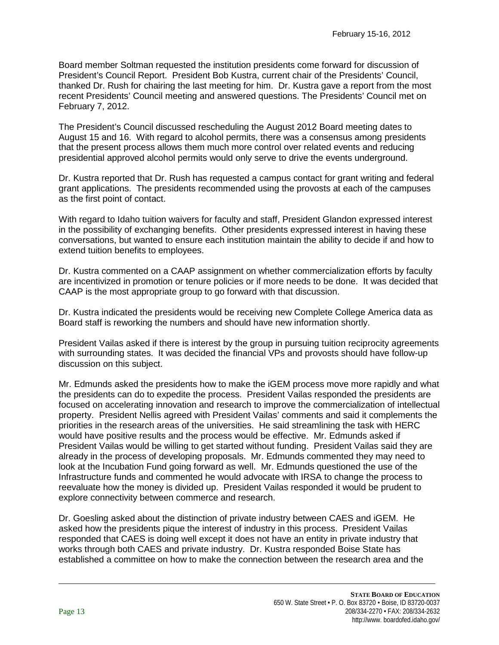Board member Soltman requested the institution presidents come forward for discussion of President's Council Report. President Bob Kustra, current chair of the Presidents' Council, thanked Dr. Rush for chairing the last meeting for him. Dr. Kustra gave a report from the most recent Presidents' Council meeting and answered questions. The Presidents' Council met on February 7, 2012.

The President's Council discussed rescheduling the August 2012 Board meeting dates to August 15 and 16. With regard to alcohol permits, there was a consensus among presidents that the present process allows them much more control over related events and reducing presidential approved alcohol permits would only serve to drive the events underground.

Dr. Kustra reported that Dr. Rush has requested a campus contact for grant writing and federal grant applications. The presidents recommended using the provosts at each of the campuses as the first point of contact.

With regard to Idaho tuition waivers for faculty and staff, President Glandon expressed interest in the possibility of exchanging benefits. Other presidents expressed interest in having these conversations, but wanted to ensure each institution maintain the ability to decide if and how to extend tuition benefits to employees.

Dr. Kustra commented on a CAAP assignment on whether commercialization efforts by faculty are incentivized in promotion or tenure policies or if more needs to be done. It was decided that CAAP is the most appropriate group to go forward with that discussion.

Dr. Kustra indicated the presidents would be receiving new Complete College America data as Board staff is reworking the numbers and should have new information shortly.

President Vailas asked if there is interest by the group in pursuing tuition reciprocity agreements with surrounding states. It was decided the financial VPs and provosts should have follow-up discussion on this subject.

Mr. Edmunds asked the presidents how to make the iGEM process move more rapidly and what the presidents can do to expedite the process. President Vailas responded the presidents are focused on accelerating innovation and research to improve the commercialization of intellectual property. President Nellis agreed with President Vailas' comments and said it complements the priorities in the research areas of the universities. He said streamlining the task with HERC would have positive results and the process would be effective. Mr. Edmunds asked if President Vailas would be willing to get started without funding. President Vailas said they are already in the process of developing proposals. Mr. Edmunds commented they may need to look at the Incubation Fund going forward as well. Mr. Edmunds questioned the use of the Infrastructure funds and commented he would advocate with IRSA to change the process to reevaluate how the money is divided up. President Vailas responded it would be prudent to explore connectivity between commerce and research.

Dr. Goesling asked about the distinction of private industry between CAES and iGEM. He asked how the presidents pique the interest of industry in this process. President Vailas responded that CAES is doing well except it does not have an entity in private industry that works through both CAES and private industry. Dr. Kustra responded Boise State has established a committee on how to make the connection between the research area and the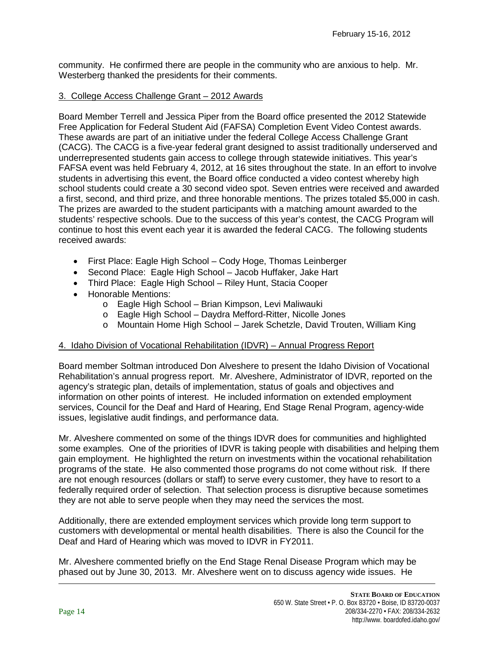community. He confirmed there are people in the community who are anxious to help. Mr. Westerberg thanked the presidents for their comments.

## 3. College Access Challenge Grant – 2012 Awards

Board Member Terrell and Jessica Piper from the Board office presented the 2012 Statewide Free Application for Federal Student Aid (FAFSA) Completion Event Video Contest awards. These awards are part of an initiative under the federal College Access Challenge Grant (CACG). The CACG is a five-year federal grant designed to assist traditionally underserved and underrepresented students gain access to college through statewide initiatives. This year's FAFSA event was held February 4, 2012, at 16 sites throughout the state. In an effort to involve students in advertising this event, the Board office conducted a video contest whereby high school students could create a 30 second video spot. Seven entries were received and awarded a first, second, and third prize, and three honorable mentions. The prizes totaled \$5,000 in cash. The prizes are awarded to the student participants with a matching amount awarded to the students' respective schools. Due to the success of this year's contest, the CACG Program will continue to host this event each year it is awarded the federal CACG. The following students received awards:

- First Place: Eagle High School Cody Hoge, Thomas Leinberger
- Second Place: Eagle High School Jacob Huffaker, Jake Hart
- Third Place: Eagle High School Riley Hunt, Stacia Cooper
- Honorable Mentions:
	- o Eagle High School Brian Kimpson, Levi Maliwauki
	- o Eagle High School Daydra Mefford-Ritter, Nicolle Jones
	- o Mountain Home High School Jarek Schetzle, David Trouten, William King

# 4. Idaho Division of Vocational Rehabilitation (IDVR) – Annual Progress Report

Board member Soltman introduced Don Alveshere to present the Idaho Division of Vocational Rehabilitation's annual progress report. Mr. Alveshere, Administrator of IDVR, reported on the agency's strategic plan, details of implementation, status of goals and objectives and information on other points of interest. He included information on extended employment services, Council for the Deaf and Hard of Hearing, End Stage Renal Program, agency-wide issues, legislative audit findings, and performance data.

Mr. Alveshere commented on some of the things IDVR does for communities and highlighted some examples. One of the priorities of IDVR is taking people with disabilities and helping them gain employment. He highlighted the return on investments within the vocational rehabilitation programs of the state. He also commented those programs do not come without risk. If there are not enough resources (dollars or staff) to serve every customer, they have to resort to a federally required order of selection. That selection process is disruptive because sometimes they are not able to serve people when they may need the services the most.

Additionally, there are extended employment services which provide long term support to customers with developmental or mental health disabilities. There is also the Council for the Deaf and Hard of Hearing which was moved to IDVR in FY2011.

Mr. Alveshere commented briefly on the End Stage Renal Disease Program which may be phased out by June 30, 2013. Mr. Alveshere went on to discuss agency wide issues. He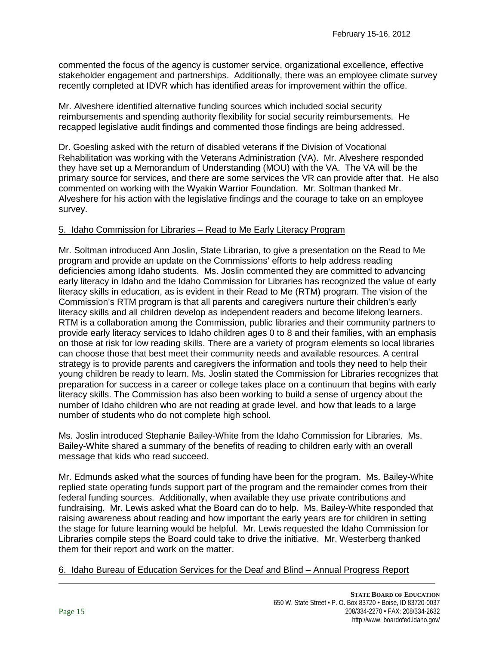commented the focus of the agency is customer service, organizational excellence, effective stakeholder engagement and partnerships. Additionally, there was an employee climate survey recently completed at IDVR which has identified areas for improvement within the office.

Mr. Alveshere identified alternative funding sources which included social security reimbursements and spending authority flexibility for social security reimbursements. He recapped legislative audit findings and commented those findings are being addressed.

Dr. Goesling asked with the return of disabled veterans if the Division of Vocational Rehabilitation was working with the Veterans Administration (VA). Mr. Alveshere responded they have set up a Memorandum of Understanding (MOU) with the VA. The VA will be the primary source for services, and there are some services the VR can provide after that. He also commented on working with the Wyakin Warrior Foundation. Mr. Soltman thanked Mr. Alveshere for his action with the legislative findings and the courage to take on an employee survey.

# 5. Idaho Commission for Libraries – Read to Me Early Literacy Program

Mr. Soltman introduced Ann Joslin, State Librarian, to give a presentation on the Read to Me program and provide an update on the Commissions' efforts to help address reading deficiencies among Idaho students. Ms. Joslin commented they are committed to advancing early literacy in Idaho and the Idaho Commission for Libraries has recognized the value of early literacy skills in education, as is evident in their Read to Me (RTM) program. The vision of the Commission's RTM program is that all parents and caregivers nurture their children's early literacy skills and all children develop as independent readers and become lifelong learners. RTM is a collaboration among the Commission, public libraries and their community partners to provide early literacy services to Idaho children ages 0 to 8 and their families, with an emphasis on those at risk for low reading skills. There are a variety of program elements so local libraries can choose those that best meet their community needs and available resources. A central strategy is to provide parents and caregivers the information and tools they need to help their young children be ready to learn. Ms. Joslin stated the Commission for Libraries recognizes that preparation for success in a career or college takes place on a continuum that begins with early literacy skills. The Commission has also been working to build a sense of urgency about the number of Idaho children who are not reading at grade level, and how that leads to a large number of students who do not complete high school.

Ms. Joslin introduced Stephanie Bailey-White from the Idaho Commission for Libraries. Ms. Bailey-White shared a summary of the benefits of reading to children early with an overall message that kids who read succeed.

Mr. Edmunds asked what the sources of funding have been for the program. Ms. Bailey-White replied state operating funds support part of the program and the remainder comes from their federal funding sources. Additionally, when available they use private contributions and fundraising. Mr. Lewis asked what the Board can do to help. Ms. Bailey-White responded that raising awareness about reading and how important the early years are for children in setting the stage for future learning would be helpful. Mr. Lewis requested the Idaho Commission for Libraries compile steps the Board could take to drive the initiative. Mr. Westerberg thanked them for their report and work on the matter.

6. Idaho Bureau of Education Services for the Deaf and Blind – Annual Progress Report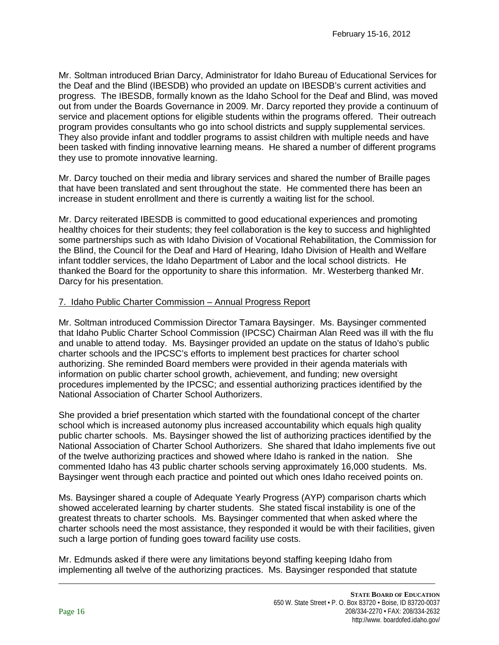Mr. Soltman introduced Brian Darcy, Administrator for Idaho Bureau of Educational Services for the Deaf and the Blind (IBESDB) who provided an update on IBESDB's current activities and progress. The IBESDB, formally known as the Idaho School for the Deaf and Blind, was moved out from under the Boards Governance in 2009. Mr. Darcy reported they provide a continuum of service and placement options for eligible students within the programs offered. Their outreach program provides consultants who go into school districts and supply supplemental services. They also provide infant and toddler programs to assist children with multiple needs and have been tasked with finding innovative learning means. He shared a number of different programs they use to promote innovative learning.

Mr. Darcy touched on their media and library services and shared the number of Braille pages that have been translated and sent throughout the state. He commented there has been an increase in student enrollment and there is currently a waiting list for the school.

Mr. Darcy reiterated IBESDB is committed to good educational experiences and promoting healthy choices for their students; they feel collaboration is the key to success and highlighted some partnerships such as with Idaho Division of Vocational Rehabilitation, the Commission for the Blind, the Council for the Deaf and Hard of Hearing, Idaho Division of Health and Welfare infant toddler services, the Idaho Department of Labor and the local school districts. He thanked the Board for the opportunity to share this information. Mr. Westerberg thanked Mr. Darcy for his presentation.

# 7. Idaho Public Charter Commission – Annual Progress Report

Mr. Soltman introduced Commission Director Tamara Baysinger. Ms. Baysinger commented that Idaho Public Charter School Commission (IPCSC) Chairman Alan Reed was ill with the flu and unable to attend today. Ms. Baysinger provided an update on the status of Idaho's public charter schools and the IPCSC's efforts to implement best practices for charter school authorizing. She reminded Board members were provided in their agenda materials with information on public charter school growth, achievement, and funding; new oversight procedures implemented by the IPCSC; and essential authorizing practices identified by the National Association of Charter School Authorizers.

She provided a brief presentation which started with the foundational concept of the charter school which is increased autonomy plus increased accountability which equals high quality public charter schools. Ms. Baysinger showed the list of authorizing practices identified by the National Association of Charter School Authorizers. She shared that Idaho implements five out of the twelve authorizing practices and showed where Idaho is ranked in the nation. She commented Idaho has 43 public charter schools serving approximately 16,000 students. Ms. Baysinger went through each practice and pointed out which ones Idaho received points on.

Ms. Baysinger shared a couple of Adequate Yearly Progress (AYP) comparison charts which showed accelerated learning by charter students. She stated fiscal instability is one of the greatest threats to charter schools. Ms. Baysinger commented that when asked where the charter schools need the most assistance, they responded it would be with their facilities, given such a large portion of funding goes toward facility use costs.

Mr. Edmunds asked if there were any limitations beyond staffing keeping Idaho from implementing all twelve of the authorizing practices. Ms. Baysinger responded that statute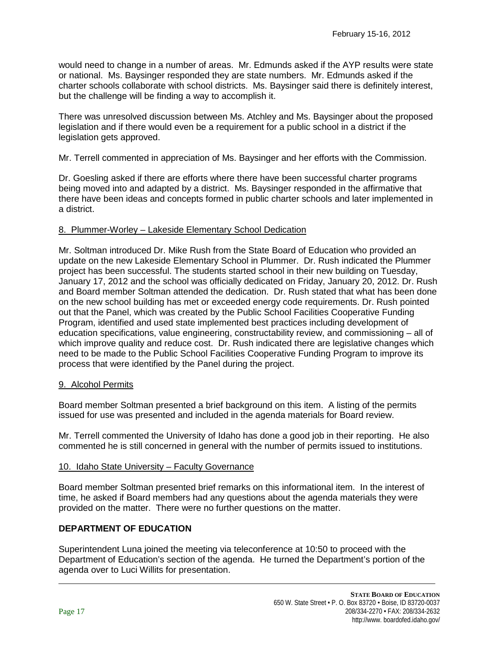would need to change in a number of areas. Mr. Edmunds asked if the AYP results were state or national. Ms. Baysinger responded they are state numbers. Mr. Edmunds asked if the charter schools collaborate with school districts. Ms. Baysinger said there is definitely interest, but the challenge will be finding a way to accomplish it.

There was unresolved discussion between Ms. Atchley and Ms. Baysinger about the proposed legislation and if there would even be a requirement for a public school in a district if the legislation gets approved.

Mr. Terrell commented in appreciation of Ms. Baysinger and her efforts with the Commission.

Dr. Goesling asked if there are efforts where there have been successful charter programs being moved into and adapted by a district. Ms. Baysinger responded in the affirmative that there have been ideas and concepts formed in public charter schools and later implemented in a district.

## 8. Plummer-Worley – Lakeside Elementary School Dedication

Mr. Soltman introduced Dr. Mike Rush from the State Board of Education who provided an update on the new Lakeside Elementary School in Plummer. Dr. Rush indicated the Plummer project has been successful. The students started school in their new building on Tuesday, January 17, 2012 and the school was officially dedicated on Friday, January 20, 2012. Dr. Rush and Board member Soltman attended the dedication. Dr. Rush stated that what has been done on the new school building has met or exceeded energy code requirements. Dr. Rush pointed out that the Panel, which was created by the Public School Facilities Cooperative Funding Program, identified and used state implemented best practices including development of education specifications, value engineering, constructability review, and commissioning – all of which improve quality and reduce cost. Dr. Rush indicated there are legislative changes which need to be made to the Public School Facilities Cooperative Funding Program to improve its process that were identified by the Panel during the project.

### 9. Alcohol Permits

Board member Soltman presented a brief background on this item. A listing of the permits issued for use was presented and included in the agenda materials for Board review.

Mr. Terrell commented the University of Idaho has done a good job in their reporting. He also commented he is still concerned in general with the number of permits issued to institutions.

### 10. Idaho State University – Faculty Governance

Board member Soltman presented brief remarks on this informational item. In the interest of time, he asked if Board members had any questions about the agenda materials they were provided on the matter. There were no further questions on the matter.

# **DEPARTMENT OF EDUCATION**

Superintendent Luna joined the meeting via teleconference at 10:50 to proceed with the Department of Education's section of the agenda. He turned the Department's portion of the agenda over to Luci Willits for presentation.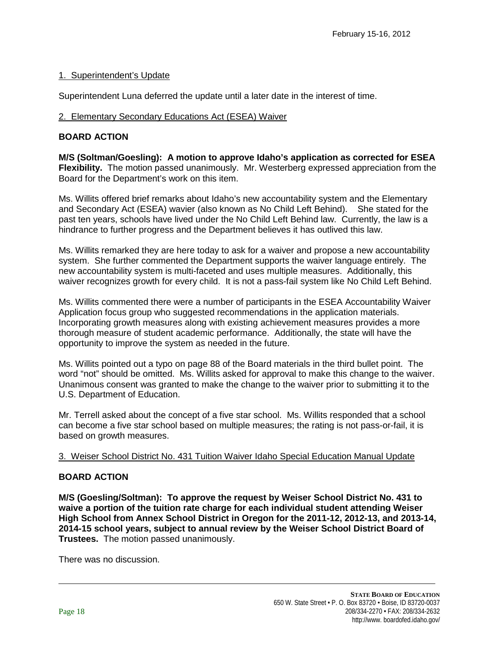# 1. Superintendent's Update

Superintendent Luna deferred the update until a later date in the interest of time.

# 2. Elementary Secondary Educations Act (ESEA) Waiver

# **BOARD ACTION**

**M/S (Soltman/Goesling): A motion to approve Idaho's application as corrected for ESEA Flexibility.** The motion passed unanimously. Mr. Westerberg expressed appreciation from the Board for the Department's work on this item.

Ms. Willits offered brief remarks about Idaho's new accountability system and the Elementary and Secondary Act (ESEA) wavier (also known as No Child Left Behind). She stated for the past ten years, schools have lived under the No Child Left Behind law. Currently, the law is a hindrance to further progress and the Department believes it has outlived this law.

Ms. Willits remarked they are here today to ask for a waiver and propose a new accountability system. She further commented the Department supports the waiver language entirely. The new accountability system is multi-faceted and uses multiple measures. Additionally, this waiver recognizes growth for every child. It is not a pass-fail system like No Child Left Behind.

Ms. Willits commented there were a number of participants in the ESEA Accountability Waiver Application focus group who suggested recommendations in the application materials. Incorporating growth measures along with existing achievement measures provides a more thorough measure of student academic performance. Additionally, the state will have the opportunity to improve the system as needed in the future.

Ms. Willits pointed out a typo on page 88 of the Board materials in the third bullet point. The word "not" should be omitted. Ms. Willits asked for approval to make this change to the waiver. Unanimous consent was granted to make the change to the waiver prior to submitting it to the U.S. Department of Education.

Mr. Terrell asked about the concept of a five star school. Ms. Willits responded that a school can become a five star school based on multiple measures; the rating is not pass-or-fail, it is based on growth measures.

# 3. Weiser School District No. 431 Tuition Waiver Idaho Special Education Manual Update

# **BOARD ACTION**

**M/S (Goesling/Soltman): To approve the request by Weiser School District No. 431 to waive a portion of the tuition rate charge for each individual student attending Weiser High School from Annex School District in Oregon for the 2011-12, 2012-13, and 2013-14, 2014-15 school years, subject to annual review by the Weiser School District Board of Trustees.** The motion passed unanimously.

There was no discussion.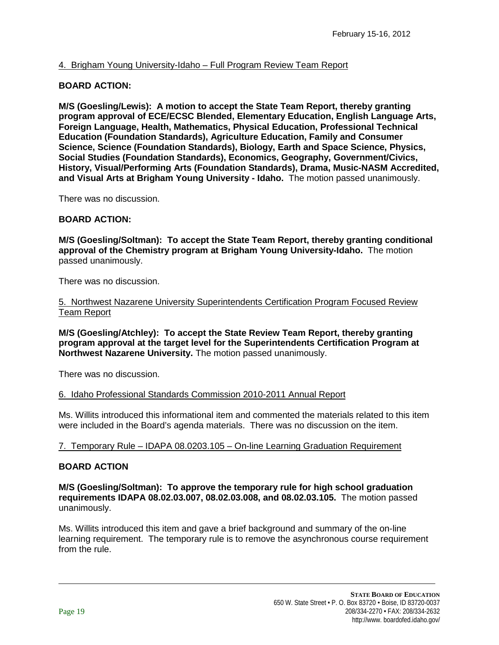# 4. Brigham Young University-Idaho – Full Program Review Team Report

# **BOARD ACTION:**

**M/S (Goesling/Lewis): A motion to accept the State Team Report, thereby granting program approval of ECE/ECSC Blended, Elementary Education, English Language Arts, Foreign Language, Health, Mathematics, Physical Education, Professional Technical Education (Foundation Standards), Agriculture Education, Family and Consumer Science, Science (Foundation Standards), Biology, Earth and Space Science, Physics, Social Studies (Foundation Standards), Economics, Geography, Government/Civics, History, Visual/Performing Arts (Foundation Standards), Drama, Music-NASM Accredited, and Visual Arts at Brigham Young University - Idaho.** The motion passed unanimously.

There was no discussion.

# **BOARD ACTION:**

**M/S (Goesling/Soltman): To accept the State Team Report, thereby granting conditional approval of the Chemistry program at Brigham Young University-Idaho.** The motion passed unanimously.

There was no discussion.

## 5. Northwest Nazarene University Superintendents Certification Program Focused Review Team Report

**M/S (Goesling/Atchley): To accept the State Review Team Report, thereby granting program approval at the target level for the Superintendents Certification Program at Northwest Nazarene University.** The motion passed unanimously.

There was no discussion.

# 6. Idaho Professional Standards Commission 2010-2011 Annual Report

Ms. Willits introduced this informational item and commented the materials related to this item were included in the Board's agenda materials. There was no discussion on the item.

# 7. Temporary Rule – IDAPA 08.0203.105 – On-line Learning Graduation Requirement

# **BOARD ACTION**

**M/S (Goesling/Soltman): To approve the temporary rule for high school graduation requirements IDAPA 08.02.03.007, 08.02.03.008, and 08.02.03.105.** The motion passed unanimously.

Ms. Willits introduced this item and gave a brief background and summary of the on-line learning requirement. The temporary rule is to remove the asynchronous course requirement from the rule.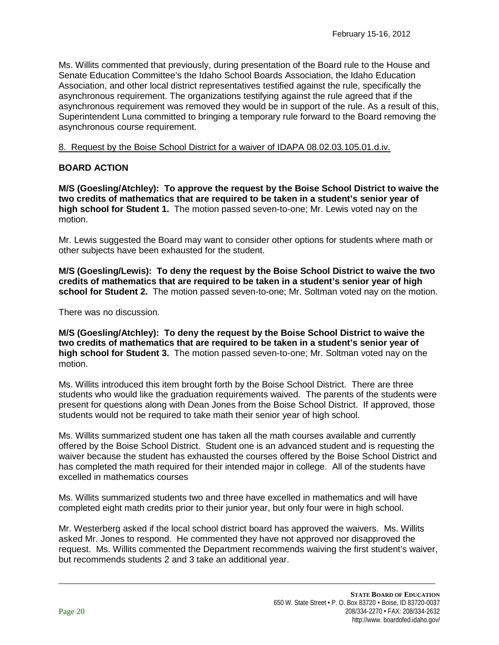Ms. Willits commented that previously, during presentation of the Board rule to the House and Senate Education Committee's the Idaho School Boards Association, the Idaho Education Association, and other local district representatives testified against the rule, specifically the asynchronous requirement. The organizations testifying against the rule agreed that if the asynchronous requirement was removed they would be in support of the rule. As a result of this, Superintendent Luna committed to bringing a temporary rule forward to the Board removing the asynchronous course requirement.

## 8. Request by the Boise School District for a waiver of IDAPA 08.02.03.105.01.d.iv.

# **BOARD ACTION**

**M/S (Goesling/Atchley): To approve the request by the Boise School District to waive the two credits of mathematics that are required to be taken in a student's senior year of high school for Student 1.** The motion passed seven-to-one; Mr. Lewis voted nay on the motion.

Mr. Lewis suggested the Board may want to consider other options for students where math or other subjects have been exhausted for the student.

**M/S (Goesling/Lewis): To deny the request by the Boise School District to waive the two credits of mathematics that are required to be taken in a student's senior year of high school for Student 2.** The motion passed seven-to-one; Mr. Soltman voted nay on the motion.

There was no discussion.

**M/S (Goesling/Atchley): To deny the request by the Boise School District to waive the two credits of mathematics that are required to be taken in a student's senior year of high school for Student 3.** The motion passed seven-to-one; Mr. Soltman voted nay on the motion.

Ms. Willits introduced this item brought forth by the Boise School District. There are three students who would like the graduation requirements waived. The parents of the students were present for questions along with Dean Jones from the Boise School District. If approved, those students would not be required to take math their senior year of high school.

Ms. Willits summarized student one has taken all the math courses available and currently offered by the Boise School District. Student one is an advanced student and is requesting the waiver because the student has exhausted the courses offered by the Boise School District and has completed the math required for their intended major in college. All of the students have excelled in mathematics courses

Ms. Willits summarized students two and three have excelled in mathematics and will have completed eight math credits prior to their junior year, but only four were in high school.

Mr. Westerberg asked if the local school district board has approved the waivers. Ms. Willits asked Mr. Jones to respond. He commented they have not approved nor disapproved the request. Ms. Willits commented the Department recommends waiving the first student's waiver, but recommends students 2 and 3 take an additional year.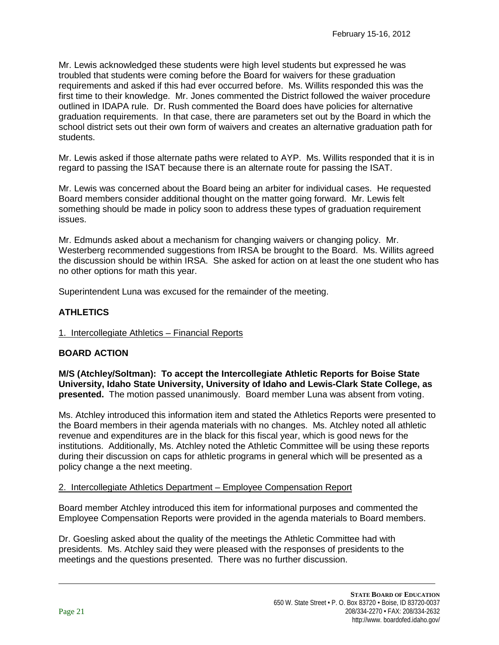Mr. Lewis acknowledged these students were high level students but expressed he was troubled that students were coming before the Board for waivers for these graduation requirements and asked if this had ever occurred before. Ms. Willits responded this was the first time to their knowledge. Mr. Jones commented the District followed the waiver procedure outlined in IDAPA rule. Dr. Rush commented the Board does have policies for alternative graduation requirements. In that case, there are parameters set out by the Board in which the school district sets out their own form of waivers and creates an alternative graduation path for students.

Mr. Lewis asked if those alternate paths were related to AYP. Ms. Willits responded that it is in regard to passing the ISAT because there is an alternate route for passing the ISAT.

Mr. Lewis was concerned about the Board being an arbiter for individual cases. He requested Board members consider additional thought on the matter going forward. Mr. Lewis felt something should be made in policy soon to address these types of graduation requirement issues.

Mr. Edmunds asked about a mechanism for changing waivers or changing policy. Mr. Westerberg recommended suggestions from IRSA be brought to the Board. Ms. Willits agreed the discussion should be within IRSA. She asked for action on at least the one student who has no other options for math this year.

Superintendent Luna was excused for the remainder of the meeting.

# **ATHLETICS**

# 1. Intercollegiate Athletics – Financial Reports

# **BOARD ACTION**

**M/S (Atchley/Soltman): To accept the Intercollegiate Athletic Reports for Boise State University, Idaho State University, University of Idaho and Lewis-Clark State College, as presented.** The motion passed unanimously. Board member Luna was absent from voting.

Ms. Atchley introduced this information item and stated the Athletics Reports were presented to the Board members in their agenda materials with no changes. Ms. Atchley noted all athletic revenue and expenditures are in the black for this fiscal year, which is good news for the institutions. Additionally, Ms. Atchley noted the Athletic Committee will be using these reports during their discussion on caps for athletic programs in general which will be presented as a policy change a the next meeting.

### 2. Intercollegiate Athletics Department – Employee Compensation Report

Board member Atchley introduced this item for informational purposes and commented the Employee Compensation Reports were provided in the agenda materials to Board members.

Dr. Goesling asked about the quality of the meetings the Athletic Committee had with presidents. Ms. Atchley said they were pleased with the responses of presidents to the meetings and the questions presented. There was no further discussion.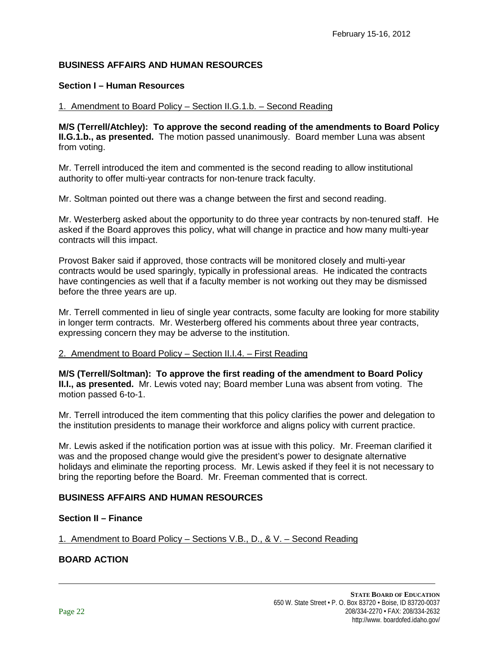# **BUSINESS AFFAIRS AND HUMAN RESOURCES**

## **Section I – Human Resources**

### 1. Amendment to Board Policy – Section II.G.1.b. – Second Reading

**M/S (Terrell/Atchley): To approve the second reading of the amendments to Board Policy II.G.1.b., as presented.** The motion passed unanimously. Board member Luna was absent from voting.

Mr. Terrell introduced the item and commented is the second reading to allow institutional authority to offer multi-year contracts for non-tenure track faculty.

Mr. Soltman pointed out there was a change between the first and second reading.

Mr. Westerberg asked about the opportunity to do three year contracts by non-tenured staff. He asked if the Board approves this policy, what will change in practice and how many multi-year contracts will this impact.

Provost Baker said if approved, those contracts will be monitored closely and multi-year contracts would be used sparingly, typically in professional areas. He indicated the contracts have contingencies as well that if a faculty member is not working out they may be dismissed before the three years are up.

Mr. Terrell commented in lieu of single year contracts, some faculty are looking for more stability in longer term contracts. Mr. Westerberg offered his comments about three year contracts, expressing concern they may be adverse to the institution.

## 2. Amendment to Board Policy – Section II.I.4. – First Reading

**M/S (Terrell/Soltman): To approve the first reading of the amendment to Board Policy II.I., as presented.** Mr. Lewis voted nay; Board member Luna was absent from voting. The motion passed 6-to-1.

Mr. Terrell introduced the item commenting that this policy clarifies the power and delegation to the institution presidents to manage their workforce and aligns policy with current practice.

Mr. Lewis asked if the notification portion was at issue with this policy. Mr. Freeman clarified it was and the proposed change would give the president's power to designate alternative holidays and eliminate the reporting process. Mr. Lewis asked if they feel it is not necessary to bring the reporting before the Board. Mr. Freeman commented that is correct.

# **BUSINESS AFFAIRS AND HUMAN RESOURCES**

### **Section II – Finance**

1. Amendment to Board Policy – Sections V.B., D., & V. – Second Reading

# **BOARD ACTION**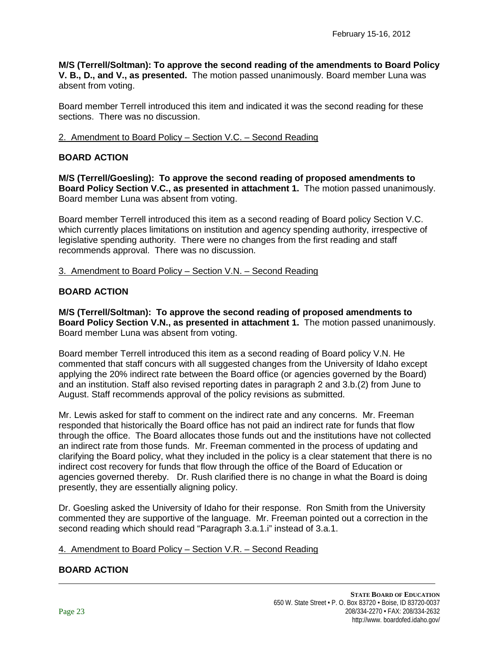**M/S (Terrell/Soltman): To approve the second reading of the amendments to Board Policy V. B., D., and V., as presented.** The motion passed unanimously. Board member Luna was absent from voting.

Board member Terrell introduced this item and indicated it was the second reading for these sections. There was no discussion.

## 2. Amendment to Board Policy – Section V.C. – Second Reading

# **BOARD ACTION**

**M/S (Terrell/Goesling): To approve the second reading of proposed amendments to Board Policy Section V.C., as presented in attachment 1.** The motion passed unanimously. Board member Luna was absent from voting.

Board member Terrell introduced this item as a second reading of Board policy Section V.C. which currently places limitations on institution and agency spending authority, irrespective of legislative spending authority. There were no changes from the first reading and staff recommends approval. There was no discussion.

### 3. Amendment to Board Policy – Section V.N. – Second Reading

### **BOARD ACTION**

**M/S (Terrell/Soltman): To approve the second reading of proposed amendments to Board Policy Section V.N., as presented in attachment 1.** The motion passed unanimously. Board member Luna was absent from voting.

Board member Terrell introduced this item as a second reading of Board policy V.N. He commented that staff concurs with all suggested changes from the University of Idaho except applying the 20% indirect rate between the Board office (or agencies governed by the Board) and an institution. Staff also revised reporting dates in paragraph 2 and 3.b.(2) from June to August. Staff recommends approval of the policy revisions as submitted.

Mr. Lewis asked for staff to comment on the indirect rate and any concerns. Mr. Freeman responded that historically the Board office has not paid an indirect rate for funds that flow through the office. The Board allocates those funds out and the institutions have not collected an indirect rate from those funds. Mr. Freeman commented in the process of updating and clarifying the Board policy, what they included in the policy is a clear statement that there is no indirect cost recovery for funds that flow through the office of the Board of Education or agencies governed thereby. Dr. Rush clarified there is no change in what the Board is doing presently, they are essentially aligning policy.

Dr. Goesling asked the University of Idaho for their response. Ron Smith from the University commented they are supportive of the language. Mr. Freeman pointed out a correction in the second reading which should read "Paragraph 3.a.1.i" instead of 3.a.1.

### 4. Amendment to Board Policy – Section V.R. – Second Reading

### **BOARD ACTION**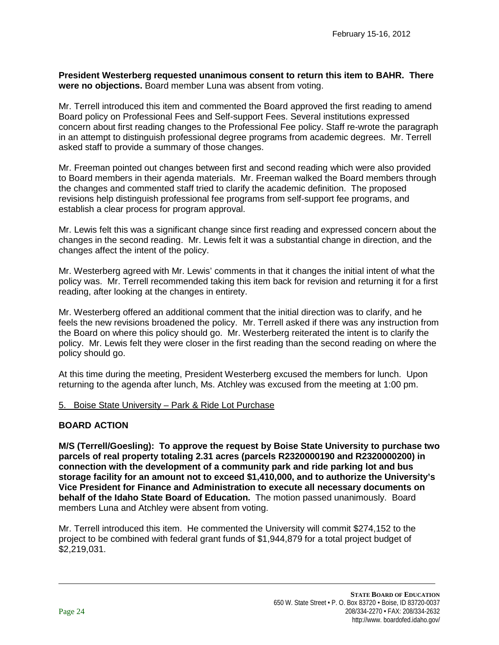**President Westerberg requested unanimous consent to return this item to BAHR. There were no objections.** Board member Luna was absent from voting.

Mr. Terrell introduced this item and commented the Board approved the first reading to amend Board policy on Professional Fees and Self-support Fees. Several institutions expressed concern about first reading changes to the Professional Fee policy. Staff re-wrote the paragraph in an attempt to distinguish professional degree programs from academic degrees. Mr. Terrell asked staff to provide a summary of those changes.

Mr. Freeman pointed out changes between first and second reading which were also provided to Board members in their agenda materials. Mr. Freeman walked the Board members through the changes and commented staff tried to clarify the academic definition. The proposed revisions help distinguish professional fee programs from self-support fee programs, and establish a clear process for program approval.

Mr. Lewis felt this was a significant change since first reading and expressed concern about the changes in the second reading. Mr. Lewis felt it was a substantial change in direction, and the changes affect the intent of the policy.

Mr. Westerberg agreed with Mr. Lewis' comments in that it changes the initial intent of what the policy was. Mr. Terrell recommended taking this item back for revision and returning it for a first reading, after looking at the changes in entirety.

Mr. Westerberg offered an additional comment that the initial direction was to clarify, and he feels the new revisions broadened the policy. Mr. Terrell asked if there was any instruction from the Board on where this policy should go. Mr. Westerberg reiterated the intent is to clarify the policy. Mr. Lewis felt they were closer in the first reading than the second reading on where the policy should go.

At this time during the meeting, President Westerberg excused the members for lunch. Upon returning to the agenda after lunch, Ms. Atchley was excused from the meeting at 1:00 pm.

# 5. Boise State University – Park & Ride Lot Purchase

# **BOARD ACTION**

**M/S (Terrell/Goesling): To approve the request by Boise State University to purchase two parcels of real property totaling 2.31 acres (parcels R2320000190 and R2320000200) in connection with the development of a community park and ride parking lot and bus storage facility for an amount not to exceed \$1,410,000, and to authorize the University's Vice President for Finance and Administration to execute all necessary documents on behalf of the Idaho State Board of Education.** The motion passed unanimously. Board members Luna and Atchley were absent from voting.

Mr. Terrell introduced this item. He commented the University will commit \$274,152 to the project to be combined with federal grant funds of \$1,944,879 for a total project budget of \$2,219,031.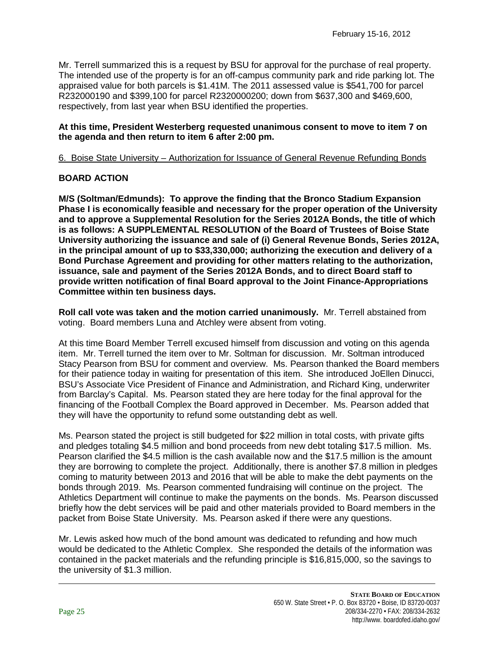Mr. Terrell summarized this is a request by BSU for approval for the purchase of real property. The intended use of the property is for an off-campus community park and ride parking lot. The appraised value for both parcels is \$1.41M. The 2011 assessed value is \$541,700 for parcel R232000190 and \$399,100 for parcel R2320000200; down from \$637,300 and \$469,600, respectively, from last year when BSU identified the properties.

### **At this time, President Westerberg requested unanimous consent to move to item 7 on the agenda and then return to item 6 after 2:00 pm.**

# 6. Boise State University – Authorization for Issuance of General Revenue Refunding Bonds

# **BOARD ACTION**

**M/S (Soltman/Edmunds): To approve the finding that the Bronco Stadium Expansion Phase I is economically feasible and necessary for the proper operation of the University and to approve a Supplemental Resolution for the Series 2012A Bonds, the title of which is as follows: A SUPPLEMENTAL RESOLUTION of the Board of Trustees of Boise State University authorizing the issuance and sale of (i) General Revenue Bonds, Series 2012A, in the principal amount of up to \$33,330,000; authorizing the execution and delivery of a Bond Purchase Agreement and providing for other matters relating to the authorization, issuance, sale and payment of the Series 2012A Bonds, and to direct Board staff to provide written notification of final Board approval to the Joint Finance-Appropriations Committee within ten business days.** 

**Roll call vote was taken and the motion carried unanimously.** Mr. Terrell abstained from voting. Board members Luna and Atchley were absent from voting.

At this time Board Member Terrell excused himself from discussion and voting on this agenda item. Mr. Terrell turned the item over to Mr. Soltman for discussion. Mr. Soltman introduced Stacy Pearson from BSU for comment and overview. Ms. Pearson thanked the Board members for their patience today in waiting for presentation of this item. She introduced JoEllen Dinucci, BSU's Associate Vice President of Finance and Administration, and Richard King, underwriter from Barclay's Capital. Ms. Pearson stated they are here today for the final approval for the financing of the Football Complex the Board approved in December. Ms. Pearson added that they will have the opportunity to refund some outstanding debt as well.

Ms. Pearson stated the project is still budgeted for \$22 million in total costs, with private gifts and pledges totaling \$4.5 million and bond proceeds from new debt totaling \$17.5 million. Ms. Pearson clarified the \$4.5 million is the cash available now and the \$17.5 million is the amount they are borrowing to complete the project. Additionally, there is another \$7.8 million in pledges coming to maturity between 2013 and 2016 that will be able to make the debt payments on the bonds through 2019. Ms. Pearson commented fundraising will continue on the project. The Athletics Department will continue to make the payments on the bonds. Ms. Pearson discussed briefly how the debt services will be paid and other materials provided to Board members in the packet from Boise State University. Ms. Pearson asked if there were any questions.

Mr. Lewis asked how much of the bond amount was dedicated to refunding and how much would be dedicated to the Athletic Complex. She responded the details of the information was contained in the packet materials and the refunding principle is \$16,815,000, so the savings to the university of \$1.3 million.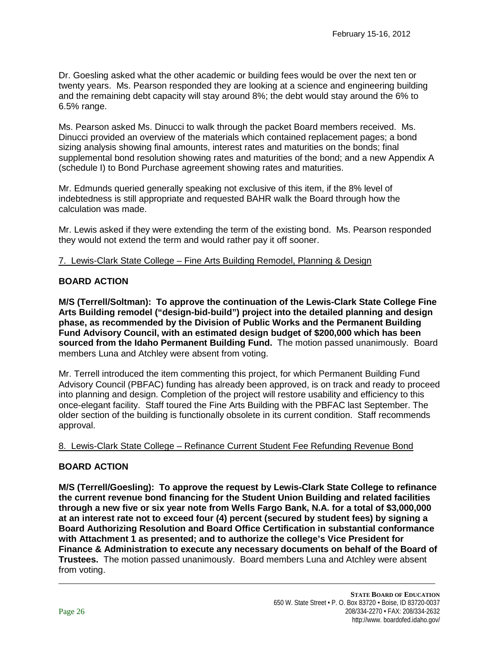Dr. Goesling asked what the other academic or building fees would be over the next ten or twenty years. Ms. Pearson responded they are looking at a science and engineering building and the remaining debt capacity will stay around 8%; the debt would stay around the 6% to 6.5% range.

Ms. Pearson asked Ms. Dinucci to walk through the packet Board members received. Ms. Dinucci provided an overview of the materials which contained replacement pages; a bond sizing analysis showing final amounts, interest rates and maturities on the bonds; final supplemental bond resolution showing rates and maturities of the bond; and a new Appendix A (schedule I) to Bond Purchase agreement showing rates and maturities.

Mr. Edmunds queried generally speaking not exclusive of this item, if the 8% level of indebtedness is still appropriate and requested BAHR walk the Board through how the calculation was made.

Mr. Lewis asked if they were extending the term of the existing bond. Ms. Pearson responded they would not extend the term and would rather pay it off sooner.

# 7. Lewis-Clark State College – Fine Arts Building Remodel, Planning & Design

## **BOARD ACTION**

**M/S (Terrell/Soltman): To approve the continuation of the Lewis-Clark State College Fine Arts Building remodel ("design-bid-build") project into the detailed planning and design phase, as recommended by the Division of Public Works and the Permanent Building Fund Advisory Council, with an estimated design budget of \$200,000 which has been sourced from the Idaho Permanent Building Fund.** The motion passed unanimously. Board members Luna and Atchley were absent from voting.

Mr. Terrell introduced the item commenting this project, for which Permanent Building Fund Advisory Council (PBFAC) funding has already been approved, is on track and ready to proceed into planning and design. Completion of the project will restore usability and efficiency to this once-elegant facility. Staff toured the Fine Arts Building with the PBFAC last September. The older section of the building is functionally obsolete in its current condition. Staff recommends approval.

# 8. Lewis-Clark State College – Refinance Current Student Fee Refunding Revenue Bond

# **BOARD ACTION**

**M/S (Terrell/Goesling): To approve the request by Lewis-Clark State College to refinance the current revenue bond financing for the Student Union Building and related facilities through a new five or six year note from Wells Fargo Bank, N.A. for a total of \$3,000,000 at an interest rate not to exceed four (4) percent (secured by student fees) by signing a Board Authorizing Resolution and Board Office Certification in substantial conformance with Attachment 1 as presented; and to authorize the college's Vice President for Finance & Administration to execute any necessary documents on behalf of the Board of Trustees.** The motion passed unanimously. Board members Luna and Atchley were absent from voting.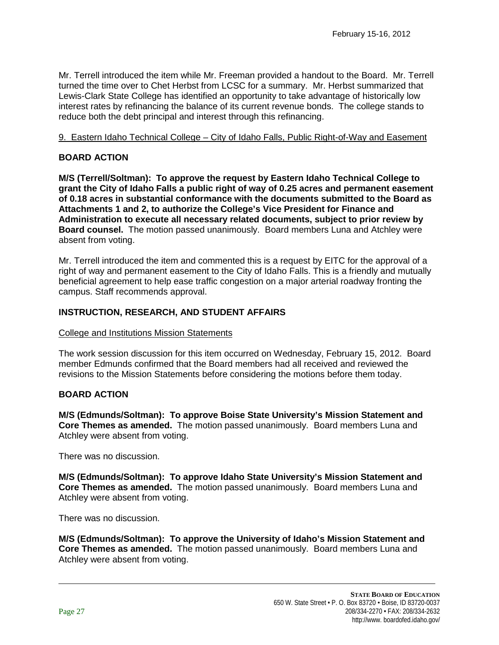Mr. Terrell introduced the item while Mr. Freeman provided a handout to the Board. Mr. Terrell turned the time over to Chet Herbst from LCSC for a summary. Mr. Herbst summarized that Lewis-Clark State College has identified an opportunity to take advantage of historically low interest rates by refinancing the balance of its current revenue bonds. The college stands to reduce both the debt principal and interest through this refinancing.

# 9. Eastern Idaho Technical College – City of Idaho Falls, Public Right-of-Way and Easement

# **BOARD ACTION**

**M/S (Terrell/Soltman): To approve the request by Eastern Idaho Technical College to grant the City of Idaho Falls a public right of way of 0.25 acres and permanent easement of 0.18 acres in substantial conformance with the documents submitted to the Board as Attachments 1 and 2, to authorize the College's Vice President for Finance and Administration to execute all necessary related documents, subject to prior review by Board counsel.** The motion passed unanimously. Board members Luna and Atchley were absent from voting.

Mr. Terrell introduced the item and commented this is a request by EITC for the approval of a right of way and permanent easement to the City of Idaho Falls. This is a friendly and mutually beneficial agreement to help ease traffic congestion on a major arterial roadway fronting the campus. Staff recommends approval.

# **INSTRUCTION, RESEARCH, AND STUDENT AFFAIRS**

# College and Institutions Mission Statements

The work session discussion for this item occurred on Wednesday, February 15, 2012. Board member Edmunds confirmed that the Board members had all received and reviewed the revisions to the Mission Statements before considering the motions before them today.

# **BOARD ACTION**

**M/S (Edmunds/Soltman): To approve Boise State University's Mission Statement and Core Themes as amended.** The motion passed unanimously. Board members Luna and Atchley were absent from voting.

There was no discussion.

**M/S (Edmunds/Soltman): To approve Idaho State University's Mission Statement and Core Themes as amended.** The motion passed unanimously. Board members Luna and Atchley were absent from voting.

There was no discussion.

**M/S (Edmunds/Soltman): To approve the University of Idaho's Mission Statement and Core Themes as amended.** The motion passed unanimously. Board members Luna and Atchley were absent from voting.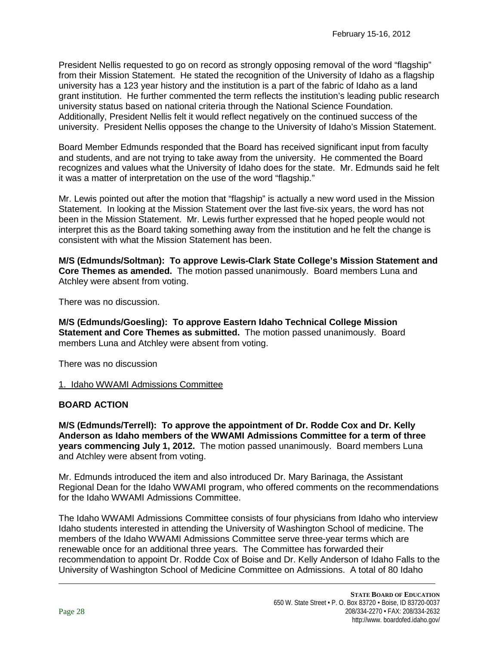President Nellis requested to go on record as strongly opposing removal of the word "flagship" from their Mission Statement. He stated the recognition of the University of Idaho as a flagship university has a 123 year history and the institution is a part of the fabric of Idaho as a land grant institution. He further commented the term reflects the institution's leading public research university status based on national criteria through the National Science Foundation. Additionally, President Nellis felt it would reflect negatively on the continued success of the university. President Nellis opposes the change to the University of Idaho's Mission Statement.

Board Member Edmunds responded that the Board has received significant input from faculty and students, and are not trying to take away from the university. He commented the Board recognizes and values what the University of Idaho does for the state. Mr. Edmunds said he felt it was a matter of interpretation on the use of the word "flagship."

Mr. Lewis pointed out after the motion that "flagship" is actually a new word used in the Mission Statement. In looking at the Mission Statement over the last five-six years, the word has not been in the Mission Statement. Mr. Lewis further expressed that he hoped people would not interpret this as the Board taking something away from the institution and he felt the change is consistent with what the Mission Statement has been.

**M/S (Edmunds/Soltman): To approve Lewis-Clark State College's Mission Statement and Core Themes as amended.** The motion passed unanimously. Board members Luna and Atchley were absent from voting.

There was no discussion.

**M/S (Edmunds/Goesling): To approve Eastern Idaho Technical College Mission Statement and Core Themes as submitted.** The motion passed unanimously. Board members Luna and Atchley were absent from voting.

There was no discussion

1. Idaho WWAMI Admissions Committee

# **BOARD ACTION**

**M/S (Edmunds/Terrell): To approve the appointment of Dr. Rodde Cox and Dr. Kelly Anderson as Idaho members of the WWAMI Admissions Committee for a term of three years commencing July 1, 2012.** The motion passed unanimously. Board members Luna and Atchley were absent from voting.

Mr. Edmunds introduced the item and also introduced Dr. Mary Barinaga, the Assistant Regional Dean for the Idaho WWAMI program, who offered comments on the recommendations for the Idaho WWAMI Admissions Committee.

The Idaho WWAMI Admissions Committee consists of four physicians from Idaho who interview Idaho students interested in attending the University of Washington School of medicine. The members of the Idaho WWAMI Admissions Committee serve three-year terms which are renewable once for an additional three years. The Committee has forwarded their recommendation to appoint Dr. Rodde Cox of Boise and Dr. Kelly Anderson of Idaho Falls to the University of Washington School of Medicine Committee on Admissions. A total of 80 Idaho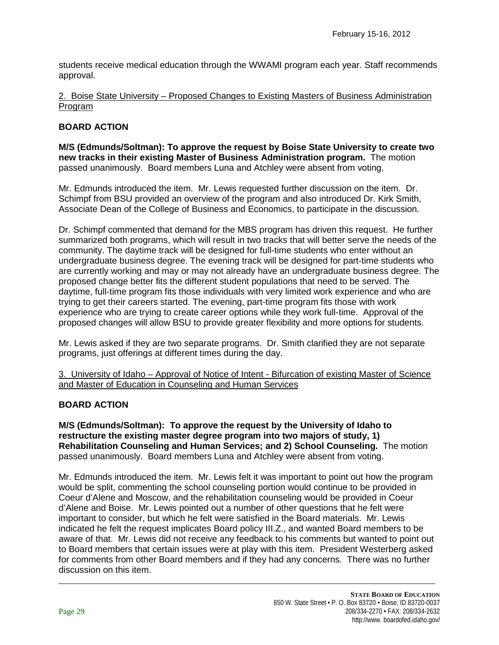students receive medical education through the WWAMI program each year. Staff recommends approval.

## 2. Boise State University – Proposed Changes to Existing Masters of Business Administration Program

# **BOARD ACTION**

**M/S (Edmunds/Soltman): To approve the request by Boise State University to create two new tracks in their existing Master of Business Administration program.** The motion passed unanimously. Board members Luna and Atchley were absent from voting.

Mr. Edmunds introduced the item. Mr. Lewis requested further discussion on the item. Dr. Schimpf from BSU provided an overview of the program and also introduced Dr. Kirk Smith, Associate Dean of the College of Business and Economics, to participate in the discussion.

Dr. Schimpf commented that demand for the MBS program has driven this request. He further summarized both programs, which will result in two tracks that will better serve the needs of the community. The daytime track will be designed for full-time students who enter without an undergraduate business degree. The evening track will be designed for part-time students who are currently working and may or may not already have an undergraduate business degree. The proposed change better fits the different student populations that need to be served. The daytime, full-time program fits those individuals with very limited work experience and who are trying to get their careers started. The evening, part-time program fits those with work experience who are trying to create career options while they work full-time. Approval of the proposed changes will allow BSU to provide greater flexibility and more options for students.

Mr. Lewis asked if they are two separate programs. Dr. Smith clarified they are not separate programs, just offerings at different times during the day.

3. University of Idaho – Approval of Notice of Intent - Bifurcation of existing Master of Science and Master of Education in Counseling and Human Services

# **BOARD ACTION**

**M/S (Edmunds/Soltman): To approve the request by the University of Idaho to restructure the existing master degree program into two majors of study, 1) Rehabilitation Counseling and Human Services; and 2) School Counseling.** The motion passed unanimously. Board members Luna and Atchley were absent from voting.

Mr. Edmunds introduced the item. Mr. Lewis felt it was important to point out how the program would be split, commenting the school counseling portion would continue to be provided in Coeur d'Alene and Moscow, and the rehabilitation counseling would be provided in Coeur d'Alene and Boise. Mr. Lewis pointed out a number of other questions that he felt were important to consider, but which he felt were satisfied in the Board materials. Mr. Lewis indicated he felt the request implicates Board policy III.Z., and wanted Board members to be aware of that. Mr. Lewis did not receive any feedback to his comments but wanted to point out to Board members that certain issues were at play with this item. President Westerberg asked for comments from other Board members and if they had any concerns. There was no further discussion on this item.